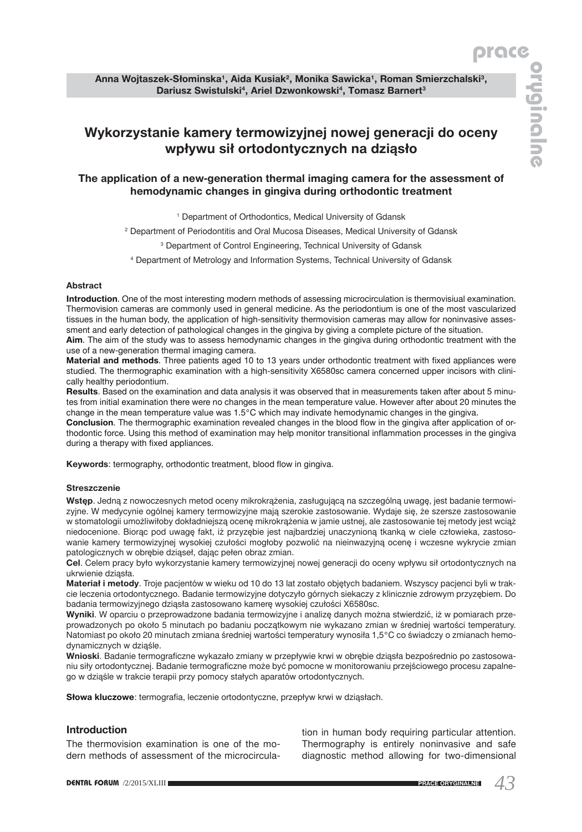# **Wykorzystanie kamery termowizyjnej nowej generacji do oceny wpływu sił ortodontycznych na dziąsło**

## **The application of a new-generation thermal imaging camera for the assessment of hemodynamic changes in gingiva during orthodontic treatment**

<sup>1</sup> Department of Orthodontics, Medical University of Gdansk

2 Department of Periodontitis and Oral Mucosa Diseases, Medical University of Gdansk

3 Department of Control Engineering, Technical University of Gdansk

4 Department of Metrology and Information Systems, Technical University of Gdansk

#### **Abstract**

**Introduction**. One of the most interesting modern methods of assessing microcirculation is thermovisiual examination. Thermovision cameras are commonly used in general medicine. As the periodontium is one of the most vascularized tissues in the human body, the application of high-sensitivity thermovision cameras may allow for noninvasive assessment and early detection of pathological changes in the gingiva by giving a complete picture of the situation. **Aim**. The aim of the study was to assess hemodynamic changes in the gingiva during orthodontic treatment with the

use of a new-generation thermal imaging camera.

**Material and methods**. Three patients aged 10 to 13 years under orthodontic treatment with fixed appliances were studied. The thermographic examination with a high-sensitivity X6580sc camera concerned upper incisors with clinically healthy periodontium.

**Results**. Based on the examination and data analysis it was observed that in measurements taken after about 5 minutes from initial examination there were no changes in the mean temperature value. However after about 20 minutes the change in the mean temperature value was 1.5°C which may indivate hemodynamic changes in the gingiva.

**Conclusion**. The thermographic examination revealed changes in the blood flow in the gingiva after application of orthodontic force. Using this method of examination may help monitor transitional inflammation processes in the gingiva during a therapy with fixed appliances.

**Keywords**: termography, orthodontic treatment, blood flow in gingiva.

#### **Streszczenie**

**Wstęp**. Jedną z nowoczesnych metod oceny mikrokrążenia, zasługującą na szczególną uwagę, jest badanie termowizyjne. W medycynie ogólnej kamery termowizyjne mają szerokie zastosowanie. Wydaje się, że szersze zastosowanie w stomatologii umożliwiłoby dokładniejszą ocenę mikrokrążenia w jamie ustnej, ale zastosowanie tej metody jest wciąż niedocenione. Biorąc pod uwagę fakt, iż przyzębie jest najbardziej unaczynioną tkanką w ciele człowieka, zastosowanie kamery termowizyjnej wysokiej czułości mogłoby pozwolić na nieinwazyjną ocenę i wczesne wykrycie zmian patologicznych w obrębie dziąseł, dając pełen obraz zmian.

**Cel**. Celem pracy było wykorzystanie kamery termowizyjnej nowej generacji do oceny wpływu sił ortodontycznych na ukrwienie dziąsła.

**Materiał i metody**. Troje pacjentów w wieku od 10 do 13 lat zostało objętych badaniem. Wszyscy pacjenci byli w trakcie leczenia ortodontycznego. Badanie termowizyjne dotyczyło górnych siekaczy z klinicznie zdrowym przyzębiem. Do badania termowizyjnego dziąsła zastosowano kamerę wysokiej czułości X6580sc.

**Wyniki**. W oparciu o przeprowadzone badania termowizyjne i analizę danych można stwierdzić, iż w pomiarach przeprowadzonych po około 5 minutach po badaniu początkowym nie wykazano zmian w średniej wartości temperatury. Natomiast po około 20 minutach zmiana średniej wartości temperatury wynosiła 1,5°C co świadczy o zmianach hemodynamicznych w dziąśle.

**Wnioski**. Badanie termograficzne wykazało zmiany w przepływie krwi w obrębie dziąsła bezpośrednio po zastosowaniu siły ortodontycznej. Badanie termograficzne może być pomocne w monitorowaniu przejściowego procesu zapalnego w dziąśle w trakcie terapii przy pomocy stałych aparatów ortodontycznych.

**Słowa kluczowe**: termografia, leczenie ortodontyczne, przepływ krwi w dziąsłach.

## **Introduction**

The thermovision examination is one of the modern methods of assessment of the microcirculation in human body requiring particular attention. Thermography is entirely noninvasive and safe diagnostic method allowing for two-dimensional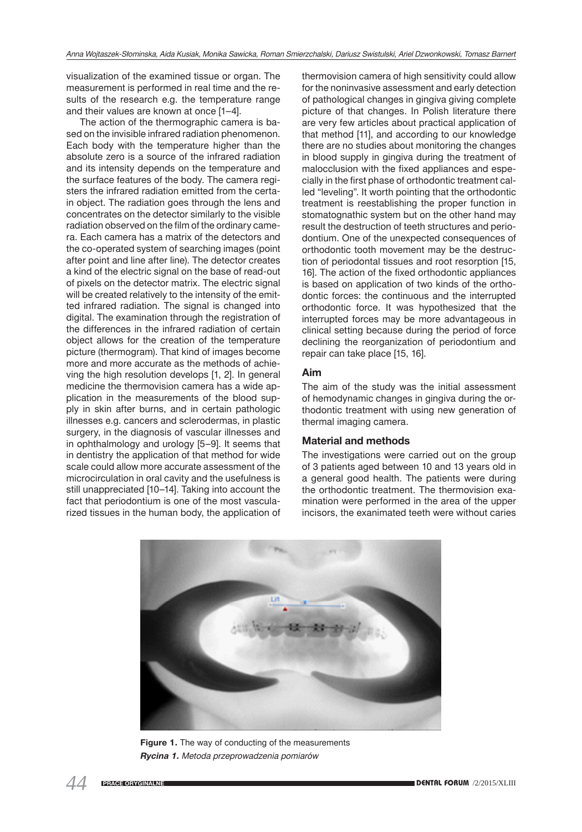visualization of the examined tissue or organ. The measurement is performed in real time and the results of the research e.g. the temperature range and their values are known at once [1–4].

The action of the thermographic camera is based on the invisible infrared radiation phenomenon. Each body with the temperature higher than the absolute zero is a source of the infrared radiation and its intensity depends on the temperature and the surface features of the body. The camera registers the infrared radiation emitted from the certain object. The radiation goes through the lens and concentrates on the detector similarly to the visible radiation observed on the film of the ordinary camera. Each camera has a matrix of the detectors and the co-operated system of searching images (point after point and line after line). The detector creates a kind of the electric signal on the base of read-out of pixels on the detector matrix. The electric signal will be created relatively to the intensity of the emitted infrared radiation. The signal is changed into digital. The examination through the registration of the differences in the infrared radiation of certain object allows for the creation of the temperature picture (thermogram). That kind of images become more and more accurate as the methods of achieving the high resolution develops [1, 2]. In general medicine the thermovision camera has a wide application in the measurements of the blood supply in skin after burns, and in certain pathologic illnesses e.g. cancers and sclerodermas, in plastic surgery, in the diagnosis of vascular illnesses and in ophthalmology and urology [5–9]. It seems that in dentistry the application of that method for wide scale could allow more accurate assessment of the microcirculation in oral cavity and the usefulness is still unappreciated [10–14]. Taking into account the fact that periodontium is one of the most vascularized tissues in the human body, the application of

thermovision camera of high sensitivity could allow for the noninvasive assessment and early detection of pathological changes in gingiva giving complete picture of that changes. In Polish literature there are very few articles about practical application of that method [11], and according to our knowledge there are no studies about monitoring the changes in blood supply in gingiva during the treatment of malocclusion with the fixed appliances and especially in the first phase of orthodontic treatment called "leveling". It worth pointing that the orthodontic treatment is reestablishing the proper function in stomatognathic system but on the other hand may result the destruction of teeth structures and periodontium. One of the unexpected consequences of orthodontic tooth movement may be the destruction of periodontal tissues and root resorption [15, 16]. The action of the fixed orthodontic appliances is based on application of two kinds of the orthodontic forces: the continuous and the interrupted orthodontic force. It was hypothesized that the interrupted forces may be more advantageous in clinical setting because during the period of force declining the reorganization of periodontium and repair can take place [15, 16].

## **Aim**

The aim of the study was the initial assessment of hemodynamic changes in gingiva during the orthodontic treatment with using new generation of thermal imaging camera.

#### **Material and methods**

The investigations were carried out on the group of 3 patients aged between 10 and 13 years old in a general good health. The patients were during the orthodontic treatment. The thermovision examination were performed in the area of the upper incisors, the exanimated teeth were without caries



**Figure 1.** The way of conducting of the measurements *Rycina 1. Metoda przeprowadzenia pomiarów*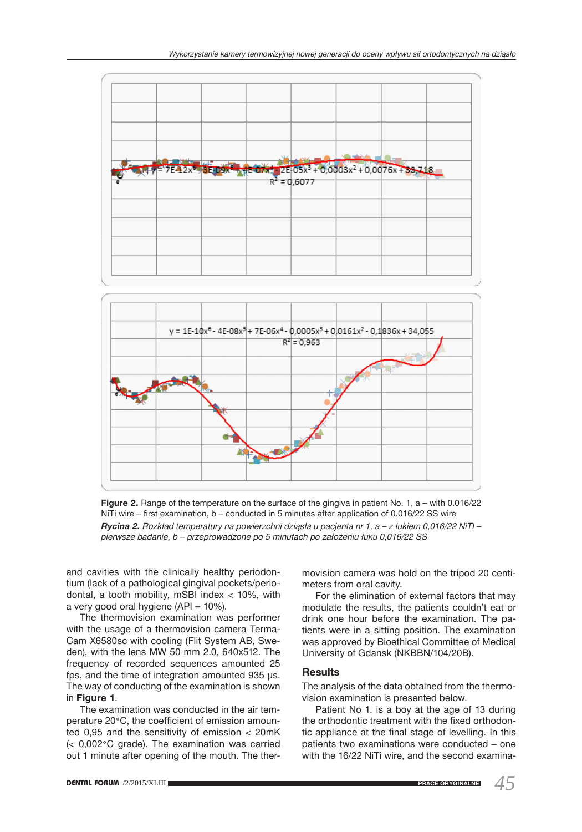

**Figure 2.** Range of the temperature on the surface of the gingiva in patient No. 1, a – with 0.016/22 NiTi wire – first examination, b – conducted in 5 minutes after application of 0.016/22 SS wire *Rycina 2. Rozkład temperatury na powierzchni dziąsła u pacjenta nr 1, a – z łukiem 0,016/22 NiTI – pierwsze badanie, b – przeprowadzone po 5 minutach po założeniu łuku 0,016/22 SS*

and cavities with the clinically healthy periodontium (lack of a pathological gingival pockets/periodontal, a tooth mobility, mSBI index < 10%, with a very good oral hygiene (API = 10%).

The thermovision examination was performer with the usage of a thermovision camera Terma-Cam X6580sc with cooling (Flit System AB, Sweden), with the lens MW 50 mm 2.0, 640x512. The frequency of recorded sequences amounted 25 fps, and the time of integration amounted 935 μs. The way of conducting of the examination is shown in **Figure 1**.

The examination was conducted in the air temperature 20°C, the coefficient of emission amounted 0,95 and the sensitivity of emission < 20mK (< 0,002°C grade). The examination was carried out 1 minute after opening of the mouth. The thermovision camera was hold on the tripod 20 centimeters from oral cavity.

For the elimination of external factors that may modulate the results, the patients couldn't eat or drink one hour before the examination. The patients were in a sitting position. The examination was approved by Bioethical Committee of Medical University of Gdansk (NKBBN/104/20B).

## **Results**

The analysis of the data obtained from the thermovision examination is presented below.

Patient No 1. is a boy at the age of 13 during the orthodontic treatment with the fixed orthodontic appliance at the final stage of levelling. In this patients two examinations were conducted – one with the 16/22 NiTi wire, and the second examina-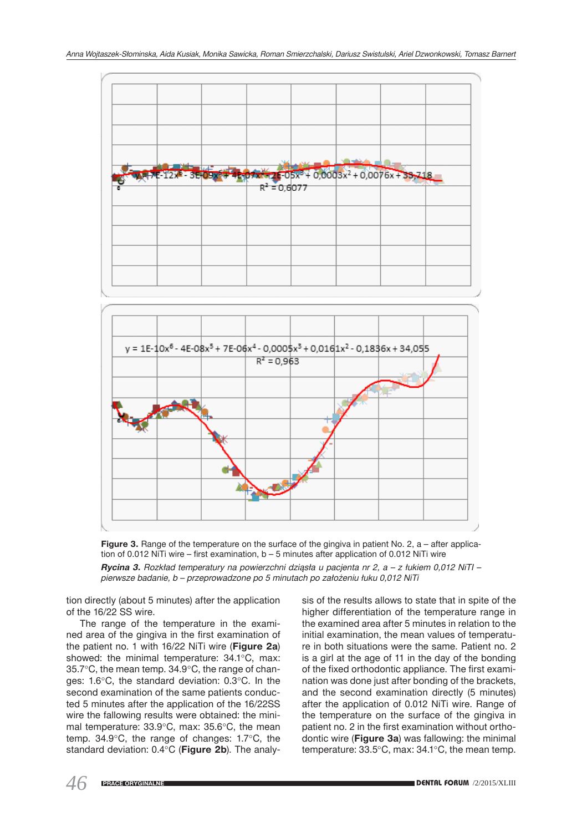

**Figure 3.** Range of the temperature on the surface of the gingiva in patient No. 2, a – after application of 0.012 NiTi wire – first examination, b – 5 minutes after application of 0.012 NiTi wire *Rycina 3. Rozkład temperatury na powierzchni dziąsła u pacjenta nr 2, a – z łukiem 0,012 NiTI – pierwsze badanie, b – przeprowadzone po 5 minutach po założeniu łuku 0,012 NiTi*

tion directly (about 5 minutes) after the application of the 16/22 SS wire.

The range of the temperature in the examined area of the gingiva in the first examination of the patient no. 1 with 16/22 NiTi wire (**Figure 2a**) showed: the minimal temperature: 34.1°C, max: 35.7°C, the mean temp. 34.9°C, the range of changes: 1.6°C, the standard deviation: 0.3°C. In the second examination of the same patients conducted 5 minutes after the application of the 16/22SS wire the fallowing results were obtained: the minimal temperature: 33.9°C, max: 35.6°C, the mean temp. 34.9°C, the range of changes: 1.7°C, the standard deviation: 0.4°C (**Figure 2b**). The analysis of the results allows to state that in spite of the higher differentiation of the temperature range in the examined area after 5 minutes in relation to the initial examination, the mean values of temperature in both situations were the same. Patient no. 2 is a girl at the age of 11 in the day of the bonding of the fixed orthodontic appliance. The first examination was done just after bonding of the brackets, and the second examination directly (5 minutes) after the application of 0.012 NiTi wire. Range of the temperature on the surface of the gingiva in patient no. 2 in the first examination without orthodontic wire (**Figure 3a**) was fallowing: the minimal temperature: 33.5°C, max: 34.1°C, the mean temp.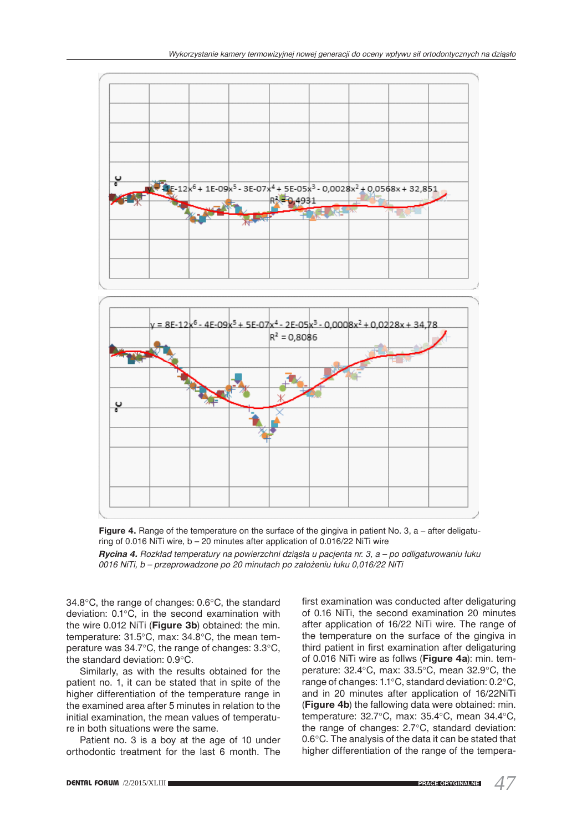



*Rycina 4. Rozkład temperatury na powierzchni dziąsła u pacjenta nr. 3, a – po odligaturowaniu łuku 0016 NiTi, b – przeprowadzone po 20 minutach po założeniu łuku 0,016/22 NiTi*

34.8°C, the range of changes: 0.6°C, the standard deviation: 0.1°C, in the second examination with the wire 0.012 NiTi (**Figure 3b**) obtained: the min. temperature: 31.5°C, max: 34.8°C, the mean temperature was 34.7°C, the range of changes: 3.3°C, the standard deviation: 0.9°C.

Similarly, as with the results obtained for the patient no. 1, it can be stated that in spite of the higher differentiation of the temperature range in the examined area after 5 minutes in relation to the initial examination, the mean values of temperature in both situations were the same.

Patient no. 3 is a boy at the age of 10 under orthodontic treatment for the last 6 month. The first examination was conducted after deligaturing of 0.16 NiTi, the second examination 20 minutes after application of 16/22 NiTi wire. The range of the temperature on the surface of the gingiva in third patient in first examination after deligaturing of 0.016 NiTi wire as follws (**Figure 4a**): min. temperature: 32.4°C, max: 33.5°C, mean 32.9°C, the range of changes: 1.1°C, standard deviation: 0.2°C, and in 20 minutes after application of 16/22NiTi (**Figure 4b**) the fallowing data were obtained: min. temperature: 32.7°C, max: 35.4°C, mean 34.4°C, the range of changes: 2.7°C, standard deviation: 0.6°C. The analysis of the data it can be stated that higher differentiation of the range of the tempera